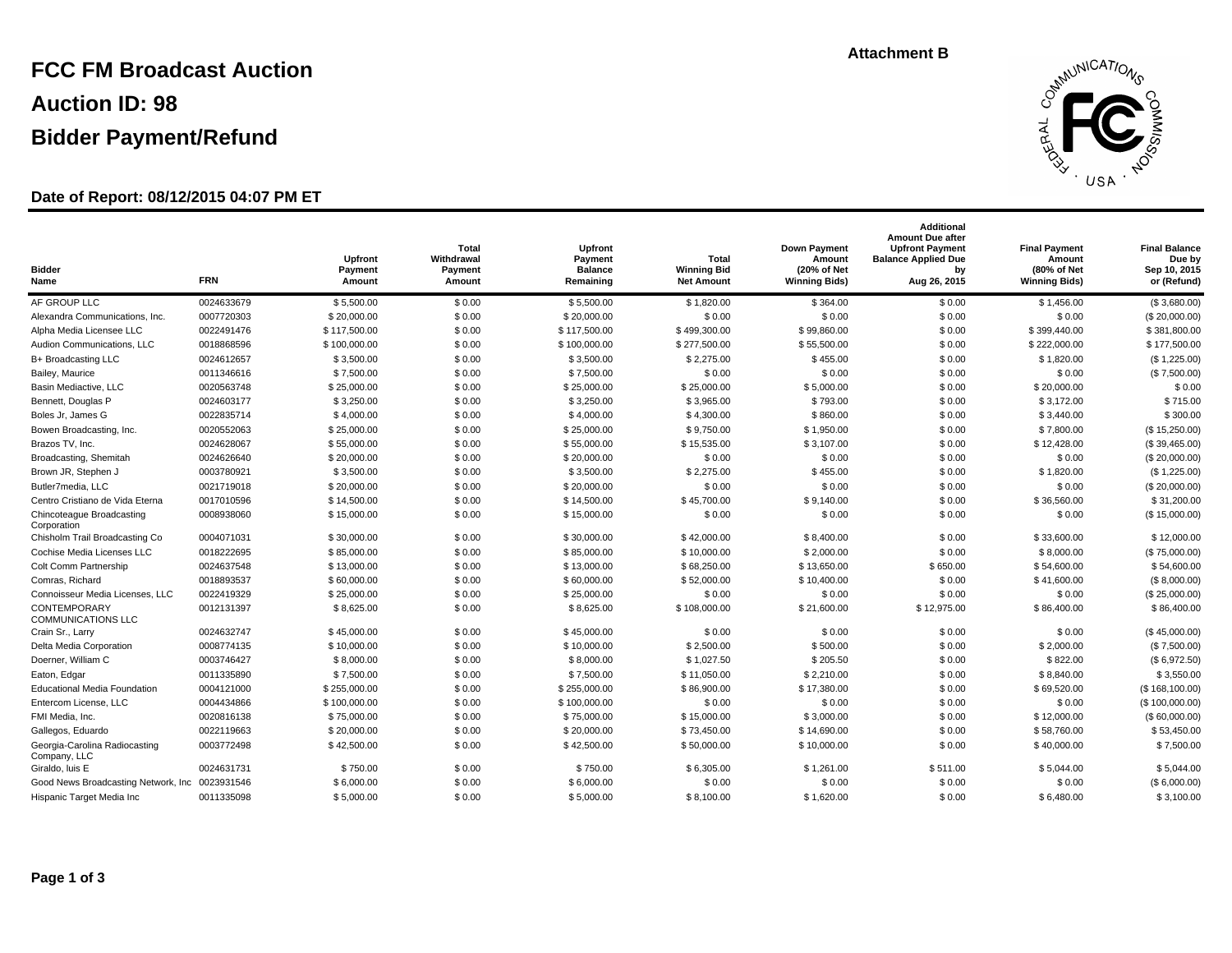# **FCC FM Broadcast Auction Auction ID: 98 Bidder Payment/Refund**

## **Date of Report: 08/12/2015 04:07 PM ET**



| <b>Bidder</b><br>Name                          | <b>FRN</b> | Upfront<br>Payment<br>Amount | Total<br>Withdrawal<br>Payment<br>Amount | Upfront<br>Payment<br><b>Balance</b><br>Remaining | Total<br><b>Winning Bid</b><br><b>Net Amount</b> | <b>Down Payment</b><br>Amount<br>(20% of Net<br><b>Winning Bids)</b> | <b>Additional</b><br><b>Amount Due after</b><br><b>Upfront Payment</b><br><b>Balance Applied Due</b><br>by<br>Aug 26, 2015 | <b>Final Payment</b><br>Amount<br>(80% of Net<br><b>Winning Bids)</b> | <b>Final Balance</b><br>Due by<br>Sep 10, 2015<br>or (Refund) |
|------------------------------------------------|------------|------------------------------|------------------------------------------|---------------------------------------------------|--------------------------------------------------|----------------------------------------------------------------------|----------------------------------------------------------------------------------------------------------------------------|-----------------------------------------------------------------------|---------------------------------------------------------------|
| AF GROUP LLC                                   | 0024633679 | \$5,500.00                   | \$0.00                                   | \$5,500.00                                        | \$1,820.00                                       | \$364.00                                                             | \$0.00                                                                                                                     | \$1,456.00                                                            | (\$3,680.00)                                                  |
| Alexandra Communications, Inc.                 | 0007720303 | \$20,000.00                  | \$0.00                                   | \$20,000.00                                       | \$0.00                                           | \$0.00                                                               | \$0.00                                                                                                                     | \$0.00                                                                | (S 20,000.00)                                                 |
| Alpha Media Licensee LLC                       | 0022491476 | \$117,500.00                 | \$0.00                                   | \$117,500.00                                      | \$499,300.00                                     | \$99,860.00                                                          | \$0.00                                                                                                                     | \$399,440.00                                                          | \$381,800.00                                                  |
| Audion Communications, LLC                     | 0018868596 | \$100,000.00                 | \$0.00                                   | \$100,000.00                                      | \$277,500.00                                     | \$55,500.00                                                          | \$0.00                                                                                                                     | \$222,000.00                                                          | \$177,500.00                                                  |
| B+ Broadcasting LLC                            | 0024612657 | \$3,500.00                   | \$0.00                                   | \$3,500.00                                        | \$2,275.00                                       | \$455.00                                                             | \$0.00                                                                                                                     | \$1,820.00                                                            | (\$1,225.00)                                                  |
| Bailey, Maurice                                | 0011346616 | \$7,500.00                   | \$0.00                                   | \$7,500.00                                        | \$0.00                                           | \$0.00                                                               | \$0.00                                                                                                                     | \$0.00                                                                | (\$7,500.00)                                                  |
| Basin Mediactive, LLC                          | 0020563748 | \$25,000.00                  | \$0.00                                   | \$25,000.00                                       | \$25,000.00                                      | \$5,000.00                                                           | \$0.00                                                                                                                     | \$20,000.00                                                           | \$0.00                                                        |
| Bennett, Douglas P                             | 0024603177 | \$3,250.00                   | \$0.00                                   | \$3,250.00                                        | \$3,965.00                                       | \$793.00                                                             | \$0.00                                                                                                                     | \$3,172.00                                                            | \$715.00                                                      |
| Boles Jr, James G                              | 0022835714 | \$4,000.00                   | \$0.00                                   | \$4,000.00                                        | \$4,300.00                                       | \$860.00                                                             | \$0.00                                                                                                                     | \$3,440.00                                                            | \$300.00                                                      |
| Bowen Broadcasting, Inc.                       | 0020552063 | \$25,000.00                  | \$0.00                                   | \$25,000.00                                       | \$9,750.00                                       | \$1,950.00                                                           | \$0.00                                                                                                                     | \$7,800.00                                                            | (\$15,250.00)                                                 |
| Brazos TV, Inc.                                | 0024628067 | \$55,000.00                  | \$0.00                                   | \$55,000.00                                       | \$15,535.00                                      | \$3,107.00                                                           | \$0.00                                                                                                                     | \$12,428.00                                                           | (S.39,465.00)                                                 |
| Broadcasting, Shemitah                         | 0024626640 | \$20,000.00                  | \$0.00                                   | \$20,000.00                                       | \$0.00                                           | \$0.00                                                               | \$0.00                                                                                                                     | \$0.00                                                                | (S 20,000.00)                                                 |
| Brown JR, Stephen J                            | 0003780921 | \$3,500.00                   | \$0.00                                   | \$3,500.00                                        | \$2,275.00                                       | \$455.00                                                             | \$0.00                                                                                                                     | \$1,820.00                                                            | (\$1,225.00)                                                  |
| Butler7media, LLC                              | 0021719018 | \$20,000.00                  | \$0.00                                   | \$20,000.00                                       | \$0.00                                           | \$0.00                                                               | \$0.00                                                                                                                     | \$0.00                                                                | (S 20,000.00)                                                 |
| Centro Cristiano de Vida Eterna                | 0017010596 | \$14,500.00                  | \$0.00                                   | \$14,500.00                                       | \$45,700.00                                      | \$9,140.00                                                           | \$0.00                                                                                                                     | \$36,560.00                                                           | \$31,200.00                                                   |
| Chincoteague Broadcasting<br>Corporation       | 0008938060 | \$15,000.00                  | \$0.00                                   | \$15,000.00                                       | \$0.00                                           | \$0.00                                                               | \$0.00                                                                                                                     | \$0.00                                                                | (S.15,000.00)                                                 |
| Chisholm Trail Broadcasting Co                 | 0004071031 | \$30,000.00                  | \$0.00                                   | \$30,000.00                                       | \$42,000.00                                      | \$8,400.00                                                           | \$0.00                                                                                                                     | \$33,600.00                                                           | \$12,000.00                                                   |
| Cochise Media Licenses LLC                     | 0018222695 | \$85,000.00                  | \$0.00                                   | \$85,000.00                                       | \$10,000.00                                      | \$2,000.00                                                           | \$0.00                                                                                                                     | \$8,000.00                                                            | (S 75,000.00)                                                 |
| Colt Comm Partnership                          | 0024637548 | \$13,000.00                  | \$0.00                                   | \$13,000.00                                       | \$68,250.00                                      | \$13,650.00                                                          | \$650.00                                                                                                                   | \$54,600.00                                                           | \$54,600.00                                                   |
| Comras, Richard                                | 0018893537 | \$60,000.00                  | \$0.00                                   | \$60,000.00                                       | \$52,000.00                                      | \$10,400.00                                                          | \$0.00                                                                                                                     | \$41,600.00                                                           | (\$8,000.00)                                                  |
| Connoisseur Media Licenses, LLC                | 0022419329 | \$25,000.00                  | \$0.00                                   | \$25,000.00                                       | \$0.00                                           | \$0.00                                                               | \$0.00                                                                                                                     | \$0.00                                                                | (S.25,000.00)                                                 |
| CONTEMPORARY<br><b>COMMUNICATIONS LLC</b>      | 0012131397 | \$8,625.00                   | \$0.00                                   | \$8,625.00                                        | \$108,000.00                                     | \$21,600.00                                                          | \$12,975.00                                                                                                                | \$86,400.00                                                           | \$86,400.00                                                   |
| Crain Sr., Larry                               | 0024632747 | \$45,000,00                  | \$0.00                                   | \$45,000.00                                       | \$0.00                                           | \$0.00                                                               | \$0.00                                                                                                                     | \$0.00                                                                | (S.45,000.00)                                                 |
| Delta Media Corporation                        | 0008774135 | \$10,000.00                  | \$0.00                                   | \$10,000.00                                       | \$2,500.00                                       | \$500.00                                                             | \$0.00                                                                                                                     | \$2,000.00                                                            | (\$7,500.00)                                                  |
| Doerner, William C                             | 0003746427 | \$8,000.00                   | \$0.00                                   | \$8,000.00                                        | \$1,027.50                                       | \$205.50                                                             | \$0.00                                                                                                                     | \$822.00                                                              | (\$6,972.50)                                                  |
| Eaton, Edgar                                   | 0011335890 | \$7,500.00                   | \$0.00                                   | \$7,500.00                                        | \$11,050.00                                      | \$2,210.00                                                           | \$0.00                                                                                                                     | \$8,840.00                                                            | \$3,550.00                                                    |
| <b>Educational Media Foundation</b>            | 0004121000 | \$255,000.00                 | \$0.00                                   | \$255,000.00                                      | \$86,900.00                                      | \$17,380.00                                                          | \$0.00                                                                                                                     | \$69,520.00                                                           | (\$168,100.00)                                                |
| Entercom License, LLC                          | 0004434866 | \$100,000.00                 | \$0.00                                   | \$100,000.00                                      | \$0.00                                           | \$0.00                                                               | \$0.00                                                                                                                     | \$0.00                                                                | (S 100,000.00)                                                |
| FMI Media, Inc.                                | 0020816138 | \$75,000.00                  | \$0.00                                   | \$75,000.00                                       | \$15,000.00                                      | \$3,000.00                                                           | \$0.00                                                                                                                     | \$12,000.00                                                           | (\$60,000.00)                                                 |
| Gallegos, Eduardo                              | 0022119663 | \$20,000.00                  | \$0.00                                   | \$20,000.00                                       | \$73,450.00                                      | \$14,690.00                                                          | \$0.00                                                                                                                     | \$58,760.00                                                           | \$53,450.00                                                   |
| Georgia-Carolina Radiocasting<br>Company, LLC  | 0003772498 | \$42,500.00                  | \$0.00                                   | \$42,500.00                                       | \$50,000.00                                      | \$10,000.00                                                          | \$0.00                                                                                                                     | \$40,000.00                                                           | \$7.500.00                                                    |
| Giraldo, luis E                                | 0024631731 | \$750.00                     | \$0.00                                   | \$750.00                                          | \$6,305.00                                       | \$1,261.00                                                           | \$511.00                                                                                                                   | \$5,044.00                                                            | \$5,044.00                                                    |
| Good News Broadcasting Network, Inc 0023931546 |            | \$6,000.00                   | \$0.00                                   | \$6,000.00                                        | \$0.00                                           | \$0.00                                                               | \$0.00                                                                                                                     | \$0.00                                                                | (S6,000.00)                                                   |
| Hispanic Target Media Inc                      | 0011335098 | \$5,000.00                   | \$0.00                                   | \$5,000.00                                        | \$8,100.00                                       | \$1,620.00                                                           | \$0.00                                                                                                                     | \$6,480.00                                                            | \$3,100.00                                                    |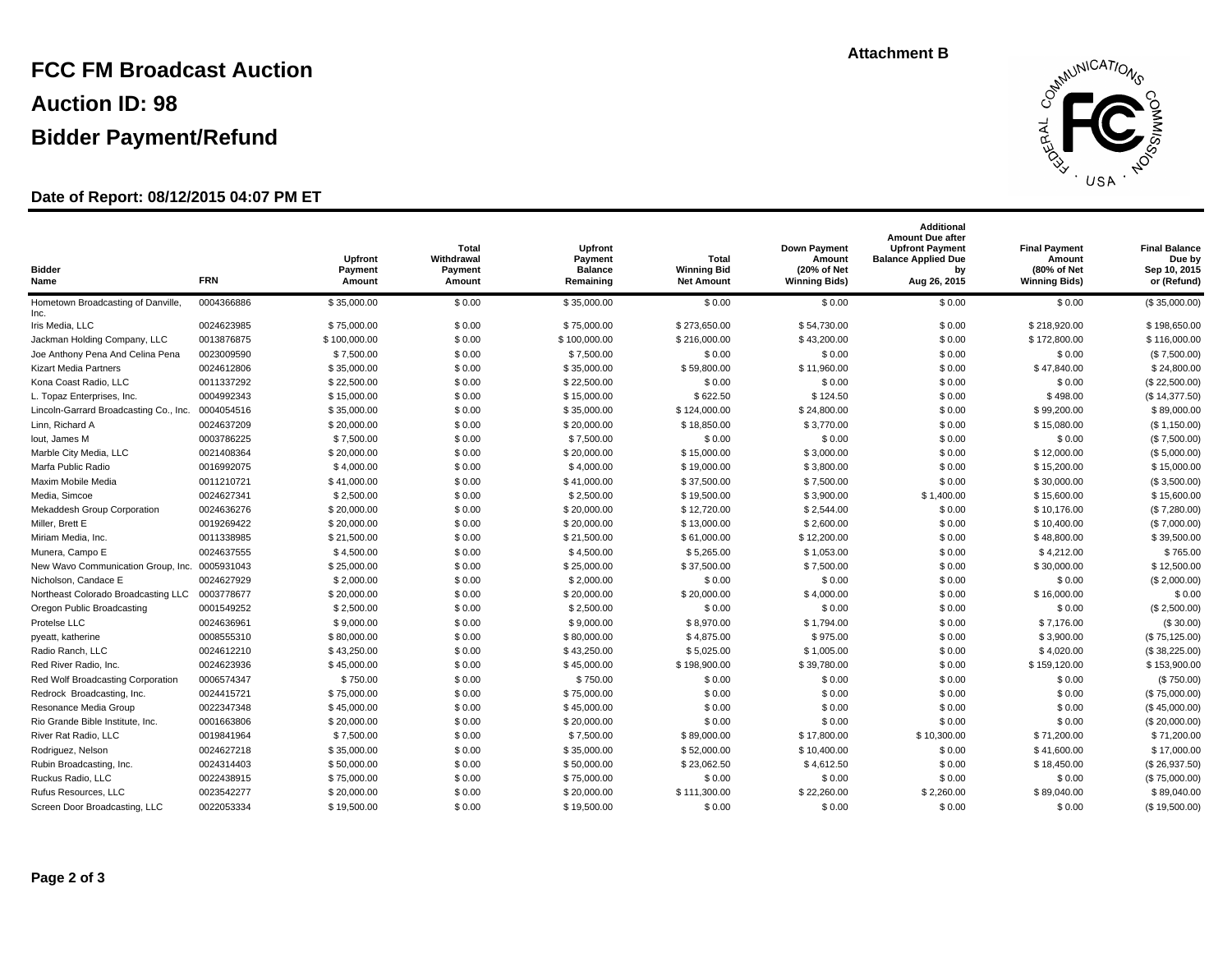# **FCC FM Broadcast Auction Auction ID: 98 Bidder Payment/Refund**

## **Date of Report: 08/12/2015 04:07 PM ET**



| <b>Bidder</b><br>Name                         | <b>FRN</b> | <b>Upfront</b><br>Payment<br>Amount | <b>Total</b><br>Withdrawal<br>Payment<br>Amount | Upfront<br>Payment<br><b>Balance</b><br>Remaining | Total<br><b>Winning Bid</b><br><b>Net Amount</b> | <b>Down Payment</b><br>Amount<br>(20% of Net<br><b>Winning Bids)</b> | <b>Additional</b><br><b>Amount Due after</b><br><b>Upfront Payment</b><br><b>Balance Applied Due</b><br>bv<br>Aug 26, 2015 | <b>Final Payment</b><br>Amount<br>(80% of Net<br><b>Winning Bids)</b> | <b>Final Balance</b><br>Due by<br>Sep 10, 2015<br>or (Refund) |
|-----------------------------------------------|------------|-------------------------------------|-------------------------------------------------|---------------------------------------------------|--------------------------------------------------|----------------------------------------------------------------------|----------------------------------------------------------------------------------------------------------------------------|-----------------------------------------------------------------------|---------------------------------------------------------------|
| Hometown Broadcasting of Danville,<br>Inc.    | 0004366886 | \$35,000.00                         | \$0.00                                          | \$35,000.00                                       | \$0.00                                           | \$0.00                                                               | \$0.00                                                                                                                     | \$0.00                                                                | (\$35,000.00)                                                 |
| Iris Media, LLC                               | 0024623985 | \$75,000.00                         | \$0.00                                          | \$75,000.00                                       | \$273,650.00                                     | \$54,730.00                                                          | \$0.00                                                                                                                     | \$218,920.00                                                          | \$198,650.00                                                  |
| Jackman Holding Company, LLC                  | 0013876875 | \$100,000.00                        | \$0.00                                          | \$100,000.00                                      | \$216,000.00                                     | \$43,200.00                                                          | \$0.00                                                                                                                     | \$172,800.00                                                          | \$116,000.00                                                  |
| Joe Anthony Pena And Celina Pena              | 0023009590 | \$7,500.00                          | \$0.00                                          | \$7,500.00                                        | \$0.00                                           | \$0.00                                                               | \$0.00                                                                                                                     | \$0.00                                                                | (\$7,500.00)                                                  |
| <b>Kizart Media Partners</b>                  | 0024612806 | \$35,000.00                         | \$0.00                                          | \$35,000.00                                       | \$59,800.00                                      | \$11,960.00                                                          | \$0.00                                                                                                                     | \$47,840.00                                                           | \$24,800.00                                                   |
| Kona Coast Radio, LLC                         | 0011337292 | \$22,500.00                         | \$0.00                                          | \$22,500.00                                       | \$0.00                                           | \$0.00                                                               | \$0.00                                                                                                                     | \$0.00                                                                | (\$22,500.00)                                                 |
| L. Topaz Enterprises, Inc.                    | 0004992343 | \$15,000.00                         | \$0.00                                          | \$15,000.00                                       | \$622.50                                         | \$124.50                                                             | \$0.00                                                                                                                     | \$498.00                                                              | (\$14,377.50)                                                 |
| Lincoln-Garrard Broadcasting Co., Inc.        | 0004054516 | \$35,000.00                         | \$0.00                                          | \$35,000.00                                       | \$124,000.00                                     | \$24,800.00                                                          | \$0.00                                                                                                                     | \$99,200.00                                                           | \$89,000.00                                                   |
| Linn, Richard A                               | 0024637209 | \$20,000.00                         | \$0.00                                          | \$20,000.00                                       | \$18,850.00                                      | \$3,770.00                                                           | \$0.00                                                                                                                     | \$15,080.00                                                           | (\$1,150.00)                                                  |
| lout, James M                                 | 0003786225 | \$7,500.00                          | \$0.00                                          | \$7,500.00                                        | \$0.00                                           | \$0.00                                                               | \$0.00                                                                                                                     | \$0.00                                                                | (\$7,500.00)                                                  |
| Marble City Media, LLC                        | 0021408364 | \$20,000.00                         | \$0.00                                          | \$20,000.00                                       | \$15,000.00                                      | \$3,000.00                                                           | \$0.00                                                                                                                     | \$12,000.00                                                           | (S, 5,000.00)                                                 |
| Marfa Public Radio                            | 0016992075 | \$4,000.00                          | \$0.00                                          | \$4,000.00                                        | \$19,000.00                                      | \$3,800.00                                                           | \$0.00                                                                                                                     | \$15,200.00                                                           | \$15,000.00                                                   |
| Maxim Mobile Media                            | 0011210721 | \$41,000.00                         | \$0.00                                          | \$41,000.00                                       | \$37,500.00                                      | \$7,500.00                                                           | \$0.00                                                                                                                     | \$30,000.00                                                           | (\$3,500.00)                                                  |
| Media, Simcoe                                 | 0024627341 | \$2,500.00                          | \$0.00                                          | \$2,500.00                                        | \$19,500.00                                      | \$3,900.00                                                           | \$1,400.00                                                                                                                 | \$15,600.00                                                           | \$15,600.00                                                   |
| <b>Mekaddesh Group Corporation</b>            | 0024636276 | \$20,000.00                         | \$0.00                                          | \$20,000.00                                       | \$12,720.00                                      | \$2,544.00                                                           | \$0.00                                                                                                                     | \$10,176.00                                                           | (\$7,280.00)                                                  |
| Miller, Brett E                               | 0019269422 | \$20,000.00                         | \$0.00                                          | \$20,000.00                                       | \$13,000.00                                      | \$2,600.00                                                           | \$0.00                                                                                                                     | \$10,400.00                                                           | (\$7,000.00)                                                  |
| Miriam Media, Inc.                            | 0011338985 | \$21,500.00                         | \$0.00                                          | \$21,500.00                                       | \$61,000.00                                      | \$12,200.00                                                          | \$0.00                                                                                                                     | \$48,800.00                                                           | \$39,500.00                                                   |
| Munera, Campo E                               | 0024637555 | \$4,500.00                          | \$0.00                                          | \$4,500.00                                        | \$5,265.00                                       | \$1,053.00                                                           | \$0.00                                                                                                                     | \$4,212.00                                                            | \$765.00                                                      |
| New Wavo Communication Group, Inc. 0005931043 |            | \$25,000.00                         | \$0.00                                          | \$25,000.00                                       | \$37,500.00                                      | \$7,500.00                                                           | \$0.00                                                                                                                     | \$30,000.00                                                           | \$12,500.00                                                   |
| Nicholson, Candace E                          | 0024627929 | \$2,000.00                          | \$0.00                                          | \$2,000.00                                        | \$0.00                                           | \$0.00                                                               | \$0.00                                                                                                                     | \$0.00                                                                | (\$2,000.00)                                                  |
| Northeast Colorado Broadcasting LLC           | 0003778677 | \$20,000.00                         | \$0.00                                          | \$20,000.00                                       | \$20,000.00                                      | \$4,000.00                                                           | \$0.00                                                                                                                     | \$16,000.00                                                           | \$0.00                                                        |
| Oregon Public Broadcasting                    | 0001549252 | \$2,500.00                          | \$0.00                                          | \$2,500.00                                        | \$0.00                                           | \$0.00                                                               | \$0.00                                                                                                                     | \$0.00                                                                | (\$2,500.00)                                                  |
| Protelse LLC                                  | 0024636961 | \$9,000.00                          | \$0.00                                          | \$9,000.00                                        | \$8,970.00                                       | \$1,794.00                                                           | \$0.00                                                                                                                     | \$7,176.00                                                            | (\$30.00)                                                     |
| pyeatt, katherine                             | 0008555310 | \$80,000.00                         | \$0.00                                          | \$80,000.00                                       | \$4,875.00                                       | \$975.00                                                             | \$0.00                                                                                                                     | \$3,900.00                                                            | (\$75,125.00)                                                 |
| Radio Ranch, LLC                              | 0024612210 | \$43,250.00                         | \$0.00                                          | \$43,250.00                                       | \$5,025.00                                       | \$1,005.00                                                           | \$0.00                                                                                                                     | \$4,020.00                                                            | (\$38,225.00)                                                 |
| Red River Radio, Inc.                         | 0024623936 | \$45,000.00                         | \$0.00                                          | \$45,000.00                                       | \$198,900.00                                     | \$39,780.00                                                          | \$0.00                                                                                                                     | \$159,120.00                                                          | \$153,900.00                                                  |
| Red Wolf Broadcasting Corporation             | 0006574347 | \$750.00                            | \$0.00                                          | \$750.00                                          | \$0.00                                           | \$0.00                                                               | \$0.00                                                                                                                     | \$0.00                                                                | (\$750.00)                                                    |
| Redrock Broadcasting, Inc.                    | 0024415721 | \$75,000.00                         | \$0.00                                          | \$75,000.00                                       | \$0.00                                           | \$0.00                                                               | \$0.00                                                                                                                     | \$0.00                                                                | (S 75,000.00)                                                 |
| Resonance Media Group                         | 0022347348 | \$45,000.00                         | \$0.00                                          | \$45,000.00                                       | \$0.00                                           | \$0.00                                                               | \$0.00                                                                                                                     | \$0.00                                                                | (\$45,000.00)                                                 |
| Rio Grande Bible Institute, Inc.              | 0001663806 | \$20,000.00                         | \$0.00                                          | \$20,000.00                                       | \$0.00                                           | \$0.00                                                               | \$0.00                                                                                                                     | \$0.00                                                                | (\$20,000.00)                                                 |
| River Rat Radio, LLC                          | 0019841964 | \$7,500.00                          | \$0.00                                          | \$7,500.00                                        | \$89,000.00                                      | \$17,800.00                                                          | \$10,300.00                                                                                                                | \$71,200.00                                                           | \$71,200.00                                                   |
| Rodriguez, Nelson                             | 0024627218 | \$35,000.00                         | \$0.00                                          | \$35,000.00                                       | \$52,000.00                                      | \$10,400.00                                                          | \$0.00                                                                                                                     | \$41,600.00                                                           | \$17,000.00                                                   |
| Rubin Broadcasting, Inc.                      | 0024314403 | \$50,000.00                         | \$0.00                                          | \$50,000.00                                       | \$23,062.50                                      | \$4,612.50                                                           | \$0.00                                                                                                                     | \$18,450.00                                                           | (\$26,937.50)                                                 |
| Ruckus Radio, LLC                             | 0022438915 | \$75,000.00                         | \$0.00                                          | \$75,000.00                                       | \$0.00                                           | \$0.00                                                               | \$0.00                                                                                                                     | \$0.00                                                                | (\$75,000.00)                                                 |
| Rufus Resources, LLC                          | 0023542277 | \$20,000.00                         | \$0.00                                          | \$20,000.00                                       | \$111,300.00                                     | \$22,260.00                                                          | \$2,260.00                                                                                                                 | \$89,040.00                                                           | \$89,040.00                                                   |
| Screen Door Broadcasting, LLC                 | 0022053334 | \$19,500.00                         | \$0.00                                          | \$19,500.00                                       | \$0.00                                           | \$0.00                                                               | \$0.00                                                                                                                     | \$0.00                                                                | (\$19,500.00)                                                 |